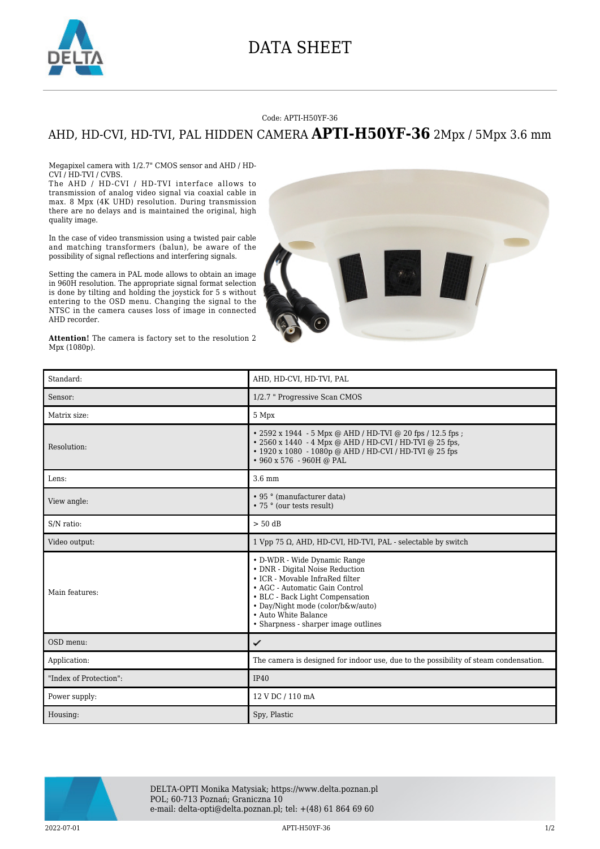

## DATA SHEET

## Code: APTI-H50YF-36

## AHD, HD-CVI, HD-TVI, PAL HIDDEN CAMERA **APTI-H50YF-36** 2Mpx / 5Mpx 3.6 mm

Megapixel camera with 1/2.7" CMOS sensor and AHD / HD-CVI / HD-TVI / CVBS.

The AHD / HD-CVI / HD-TVI interface allows to transmission of analog video signal via coaxial cable in max. 8 Mpx (4K UHD) resolution. During transmission there are no delays and is maintained the original, high quality image.

In the case of video transmission using a twisted pair cable and matching transformers (balun), be aware of the possibility of signal reflections and interfering signals.

Setting the camera in PAL mode allows to obtain an image in 960H resolution. The appropriate signal format selection is done by tilting and holding the joystick for 5 s without entering to the OSD menu. Changing the signal to the NTSC in the camera causes loss of image in connected AHD recorder.

**Attention!** The camera is factory set to the resolution 2 Mpx (1080p).



| Standard:              | AHD. HD-CVI. HD-TVI. PAL                                                                                                                                                                                                                                                     |
|------------------------|------------------------------------------------------------------------------------------------------------------------------------------------------------------------------------------------------------------------------------------------------------------------------|
| Sensor:                | 1/2.7 " Progressive Scan CMOS                                                                                                                                                                                                                                                |
| Matrix size:           | 5 Mpx                                                                                                                                                                                                                                                                        |
| Resolution:            | • 2592 x 1944 - 5 Mpx @ AHD / HD-TVI @ 20 fps / 12.5 fps ;<br>• 2560 x 1440 - 4 Mpx @ AHD / HD-CVI / HD-TVI @ 25 fps,<br>• 1920 x 1080 - 1080p @ AHD / HD-CVI / HD-TVI @ 25 fps<br>$\cdot$ 960 x 576 - 960H @ PAL                                                            |
| Lens:                  | $3.6 \text{ mm}$                                                                                                                                                                                                                                                             |
| View angle:            | • 95 ° (manufacturer data)<br>• 75 ° (our tests result)                                                                                                                                                                                                                      |
| S/N ratio:             | $> 50$ dB                                                                                                                                                                                                                                                                    |
| Video output:          | 1 Vpp 75 $\Omega$ , AHD, HD-CVI, HD-TVI, PAL - selectable by switch                                                                                                                                                                                                          |
| Main features:         | • D-WDR - Wide Dynamic Range<br>• DNR - Digital Noise Reduction<br>• ICR - Movable InfraRed filter<br>• AGC - Automatic Gain Control<br>• BLC - Back Light Compensation<br>• Day/Night mode (color/b&w/auto)<br>• Auto White Balance<br>• Sharpness - sharper image outlines |
| OSD menu:              | ✓                                                                                                                                                                                                                                                                            |
| Application:           | The camera is designed for indoor use, due to the possibility of steam condensation.                                                                                                                                                                                         |
| "Index of Protection": | IP40                                                                                                                                                                                                                                                                         |
| Power supply:          | 12 V DC / 110 mA                                                                                                                                                                                                                                                             |
| Housing:               | Spy, Plastic                                                                                                                                                                                                                                                                 |



DELTA-OPTI Monika Matysiak; https://www.delta.poznan.pl POL; 60-713 Poznań; Graniczna 10 e-mail: delta-opti@delta.poznan.pl; tel: +(48) 61 864 69 60

2022-07-01 APTI-H50YF-36 1/2